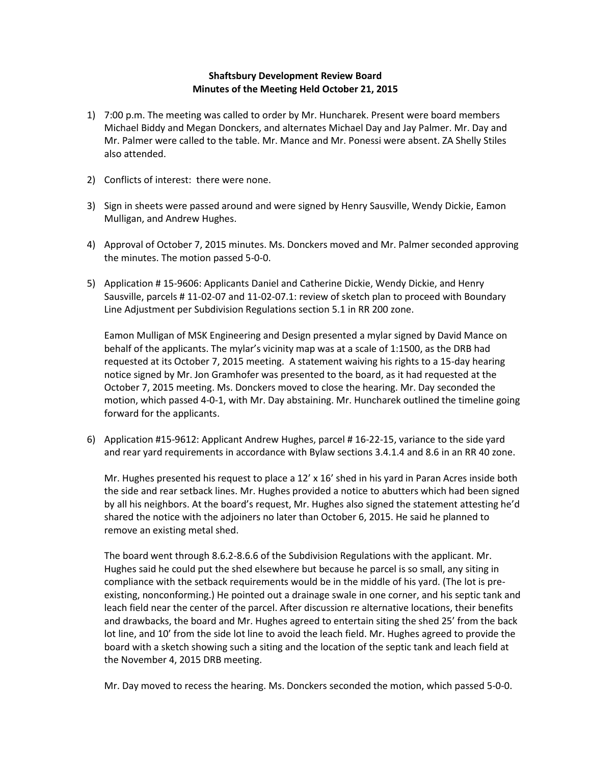## **Shaftsbury Development Review Board Minutes of the Meeting Held October 21, 2015**

- 1) 7:00 p.m. The meeting was called to order by Mr. Huncharek. Present were board members Michael Biddy and Megan Donckers, and alternates Michael Day and Jay Palmer. Mr. Day and Mr. Palmer were called to the table. Mr. Mance and Mr. Ponessi were absent. ZA Shelly Stiles also attended.
- 2) Conflicts of interest: there were none.
- 3) Sign in sheets were passed around and were signed by Henry Sausville, Wendy Dickie, Eamon Mulligan, and Andrew Hughes.
- 4) Approval of October 7, 2015 minutes. Ms. Donckers moved and Mr. Palmer seconded approving the minutes. The motion passed 5-0-0.
- 5) Application # 15-9606: Applicants Daniel and Catherine Dickie, Wendy Dickie, and Henry Sausville, parcels # 11-02-07 and 11-02-07.1: review of sketch plan to proceed with Boundary Line Adjustment per Subdivision Regulations section 5.1 in RR 200 zone.

Eamon Mulligan of MSK Engineering and Design presented a mylar signed by David Mance on behalf of the applicants. The mylar's vicinity map was at a scale of 1:1500, as the DRB had requested at its October 7, 2015 meeting. A statement waiving his rights to a 15-day hearing notice signed by Mr. Jon Gramhofer was presented to the board, as it had requested at the October 7, 2015 meeting. Ms. Donckers moved to close the hearing. Mr. Day seconded the motion, which passed 4-0-1, with Mr. Day abstaining. Mr. Huncharek outlined the timeline going forward for the applicants.

6) Application #15-9612: Applicant Andrew Hughes, parcel # 16-22-15, variance to the side yard and rear yard requirements in accordance with Bylaw sections 3.4.1.4 and 8.6 in an RR 40 zone.

Mr. Hughes presented his request to place a 12' x 16' shed in his yard in Paran Acres inside both the side and rear setback lines. Mr. Hughes provided a notice to abutters which had been signed by all his neighbors. At the board's request, Mr. Hughes also signed the statement attesting he'd shared the notice with the adjoiners no later than October 6, 2015. He said he planned to remove an existing metal shed.

The board went through 8.6.2-8.6.6 of the Subdivision Regulations with the applicant. Mr. Hughes said he could put the shed elsewhere but because he parcel is so small, any siting in compliance with the setback requirements would be in the middle of his yard. (The lot is preexisting, nonconforming.) He pointed out a drainage swale in one corner, and his septic tank and leach field near the center of the parcel. After discussion re alternative locations, their benefits and drawbacks, the board and Mr. Hughes agreed to entertain siting the shed 25' from the back lot line, and 10' from the side lot line to avoid the leach field. Mr. Hughes agreed to provide the board with a sketch showing such a siting and the location of the septic tank and leach field at the November 4, 2015 DRB meeting.

Mr. Day moved to recess the hearing. Ms. Donckers seconded the motion, which passed 5-0-0.